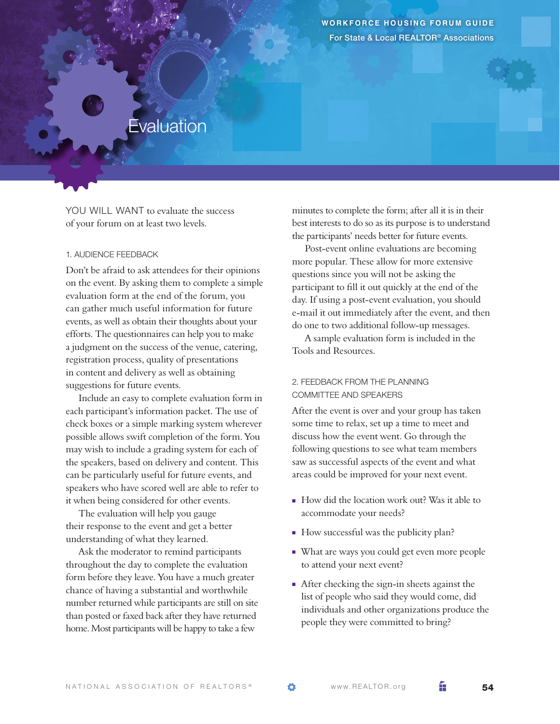**Workforce Housing F orum G uide** For State & Local REALTOR® Associations

## **Evaluation**

YOU WILL WANT to evaluate the success of your forum on at least two levels.

## 1. Audience Feedback

Don't be afraid to ask attendees for their opinions on the event. By asking them to complete a simple evaluation form at the end of the forum, you can gather much useful information for future events, as well as obtain their thoughts about your efforts. The questionnaires can help you to make a judgment on the success of the venue, catering, registration process, quality of presentations in content and delivery as well as obtaining suggestions for future events.

Include an easy to complete evaluation form in each participant's information packet. The use of check boxes or a simple marking system wherever possible allows swift completion of the form. You may wish to include a grading system for each of the speakers, based on delivery and content. This can be particularly useful for future events, and speakers who have scored well are able to refer to it when being considered for other events.

The evaluation will help you gauge their response to the event and get a better understanding of what they learned.

Ask the moderator to remind participants throughout the day to complete the evaluation form before they leave. You have a much greater chance of having a substantial and worthwhile number returned while participants are still on site than posted or faxed back after they have returned home. Most participants will be happy to take a few

minutes to complete the form; after all it is in their best interests to do so as its purpose is to understand the participants' needs better for future events.

Post-event online evaluations are becoming more popular. These allow for more extensive questions since you will not be asking the participant to fill it out quickly at the end of the day. If using a post-event evaluation, you should e-mail it out immediately after the event, and then do one to two additional follow-up messages.

A sample evaluation form is included in the Tools and Resources.

## 2. Feedback from the planning committee and speakers

After the event is over and your group has taken some time to relax, set up a time to meet and discuss how the event went. Go through the following questions to see what team members saw as successful aspects of the event and what areas could be improved for your next event.

- <sup>n</sup> How did the location work out? Was it able to accommodate your needs?
- <sup>n</sup> How successful was the publicity plan?
- <sup>n</sup> What are ways you could get even more people to attend your next event?
- <sup>n</sup> After checking the sign-in sheets against the list of people who said they would come, did individuals and other organizations produce the people they were committed to bring?